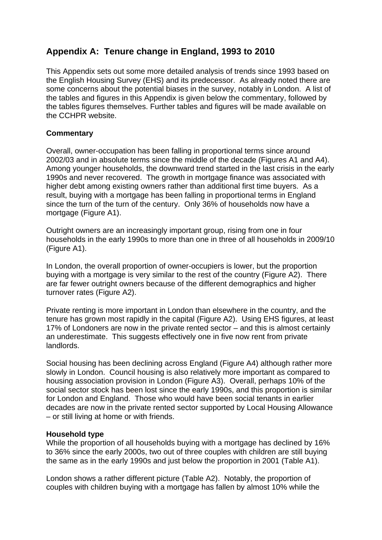# **Appendix A: Tenure change in England, 1993 to 2010**

This Appendix sets out some more detailed analysis of trends since 1993 based on the English Housing Survey (EHS) and its predecessor. As already noted there are some concerns about the potential biases in the survey, notably in London. A list of the tables and figures in this Appendix is given below the commentary, followed by the tables figures themselves. Further tables and figures will be made available on the CCHPR website.

## **Commentary**

Overall, owner-occupation has been falling in proportional terms since around 2002/03 and in absolute terms since the middle of the decade (Figures A1 and A4). Among younger households, the downward trend started in the last crisis in the early 1990s and never recovered. The growth in mortgage finance was associated with higher debt among existing owners rather than additional first time buyers. As a result, buying with a mortgage has been falling in proportional terms in England since the turn of the turn of the century. Only 36% of households now have a mortgage (Figure A1).

Outright owners are an increasingly important group, rising from one in four households in the early 1990s to more than one in three of all households in 2009/10 (Figure A1).

In London, the overall proportion of owner-occupiers is lower, but the proportion buying with a mortgage is very similar to the rest of the country (Figure A2). There are far fewer outright owners because of the different demographics and higher turnover rates (Figure A2).

Private renting is more important in London than elsewhere in the country, and the tenure has grown most rapidly in the capital (Figure A2). Using EHS figures, at least 17% of Londoners are now in the private rented sector – and this is almost certainly an underestimate. This suggests effectively one in five now rent from private landlords.

Social housing has been declining across England (Figure A4) although rather more slowly in London. Council housing is also relatively more important as compared to housing association provision in London (Figure A3). Overall, perhaps 10% of the social sector stock has been lost since the early 1990s, and this proportion is similar for London and England. Those who would have been social tenants in earlier decades are now in the private rented sector supported by Local Housing Allowance – or still living at home or with friends.

### **Household type**

While the proportion of all households buying with a mortgage has declined by 16% to 36% since the early 2000s, two out of three couples with children are still buying the same as in the early 1990s and just below the proportion in 2001 (Table A1).

London shows a rather different picture (Table A2). Notably, the proportion of couples with children buying with a mortgage has fallen by almost 10% while the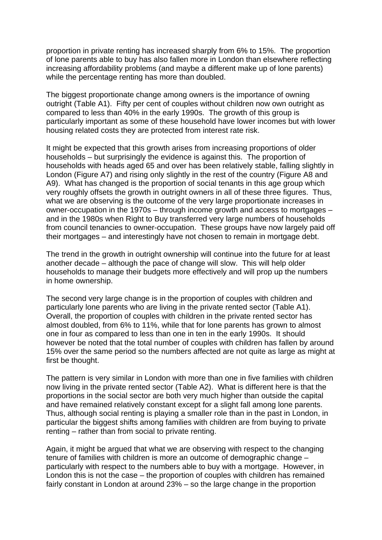proportion in private renting has increased sharply from 6% to 15%. The proportion of lone parents able to buy has also fallen more in London than elsewhere reflecting increasing affordability problems (and maybe a different make up of lone parents) while the percentage renting has more than doubled.

The biggest proportionate change among owners is the importance of owning outright (Table A1). Fifty per cent of couples without children now own outright as compared to less than 40% in the early 1990s. The growth of this group is particularly important as some of these household have lower incomes but with lower housing related costs they are protected from interest rate risk.

It might be expected that this growth arises from increasing proportions of older households – but surprisingly the evidence is against this. The proportion of households with heads aged 65 and over has been relatively stable, falling slightly in London (Figure A7) and rising only slightly in the rest of the country (Figure A8 and A9). What has changed is the proportion of social tenants in this age group which very roughly offsets the growth in outright owners in all of these three figures. Thus, what we are observing is the outcome of the very large proportionate increases in owner-occupation in the 1970s – through income growth and access to mortgages – and in the 1980s when Right to Buy transferred very large numbers of households from council tenancies to owner-occupation. These groups have now largely paid off their mortgages – and interestingly have not chosen to remain in mortgage debt.

The trend in the growth in outright ownership will continue into the future for at least another decade – although the pace of change will slow. This will help older households to manage their budgets more effectively and will prop up the numbers in home ownership.

The second very large change is in the proportion of couples with children and particularly lone parents who are living in the private rented sector (Table A1). Overall, the proportion of couples with children in the private rented sector has almost doubled, from 6% to 11%, while that for lone parents has grown to almost one in four as compared to less than one in ten in the early 1990s. It should however be noted that the total number of couples with children has fallen by around 15% over the same period so the numbers affected are not quite as large as might at first be thought.

The pattern is very similar in London with more than one in five families with children now living in the private rented sector (Table A2). What is different here is that the proportions in the social sector are both very much higher than outside the capital and have remained relatively constant except for a slight fall among lone parents. Thus, although social renting is playing a smaller role than in the past in London, in particular the biggest shifts among families with children are from buying to private renting – rather than from social to private renting.

Again, it might be argued that what we are observing with respect to the changing tenure of families with children is more an outcome of demographic change – particularly with respect to the numbers able to buy with a mortgage. However, in London this is not the case – the proportion of couples with children has remained fairly constant in London at around 23% – so the large change in the proportion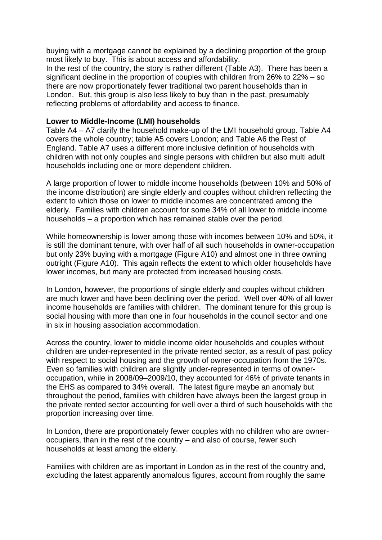buying with a mortgage cannot be explained by a declining proportion of the group most likely to buy. This is about access and affordability. In the rest of the country, the story is rather different (Table A3). There has been a significant decline in the proportion of couples with children from 26% to 22% – so there are now proportionately fewer traditional two parent households than in London. But, this group is also less likely to buy than in the past, presumably reflecting problems of affordability and access to finance.

#### **Lower to Middle-Income (LMI) households**

Table A4 – A7 clarify the household make-up of the LMI household group. Table A4 covers the whole country; table A5 covers London; and Table A6 the Rest of England. Table A7 uses a different more inclusive definition of households with children with not only couples and single persons with children but also multi adult households including one or more dependent children.

A large proportion of lower to middle income households (between 10% and 50% of the income distribution) are single elderly and couples without children reflecting the extent to which those on lower to middle incomes are concentrated among the elderly. Families with children account for some 34% of all lower to middle income households – a proportion which has remained stable over the period.

While homeownership is lower among those with incomes between 10% and 50%, it is still the dominant tenure, with over half of all such households in owner-occupation but only 23% buying with a mortgage (Figure A10) and almost one in three owning outright (Figure A10). This again reflects the extent to which older households have lower incomes, but many are protected from increased housing costs.

In London, however, the proportions of single elderly and couples without children are much lower and have been declining over the period. Well over 40% of all lower income households are families with children. The dominant tenure for this group is social housing with more than one in four households in the council sector and one in six in housing association accommodation.

Across the country, lower to middle income older households and couples without children are under-represented in the private rented sector, as a result of past policy with respect to social housing and the growth of owner-occupation from the 1970s. Even so families with children are slightly under-represented in terms of owneroccupation, while in 2008/09–2009/10, they accounted for 46% of private tenants in the EHS as compared to 34% overall. The latest figure maybe an anomaly but throughout the period, families with children have always been the largest group in the private rented sector accounting for well over a third of such households with the proportion increasing over time.

In London, there are proportionately fewer couples with no children who are owneroccupiers, than in the rest of the country – and also of course, fewer such households at least among the elderly.

Families with children are as important in London as in the rest of the country and, excluding the latest apparently anomalous figures, account from roughly the same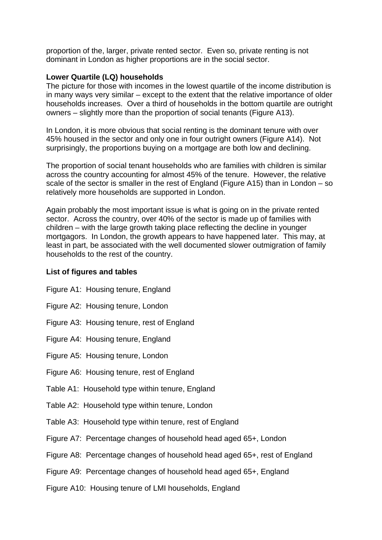proportion of the, larger, private rented sector. Even so, private renting is not dominant in London as higher proportions are in the social sector.

#### **Lower Quartile (LQ) households**

The picture for those with incomes in the lowest quartile of the income distribution is in many ways very similar – except to the extent that the relative importance of older households increases. Over a third of households in the bottom quartile are outright owners – slightly more than the proportion of social tenants (Figure A13).

In London, it is more obvious that social renting is the dominant tenure with over 45% housed in the sector and only one in four outright owners (Figure A14). Not surprisingly, the proportions buying on a mortgage are both low and declining.

The proportion of social tenant households who are families with children is similar across the country accounting for almost 45% of the tenure. However, the relative scale of the sector is smaller in the rest of England (Figure A15) than in London – so relatively more households are supported in London.

Again probably the most important issue is what is going on in the private rented sector. Across the country, over 40% of the sector is made up of families with children – with the large growth taking place reflecting the decline in younger mortgagors. In London, the growth appears to have happened later. This may, at least in part, be associated with the well documented slower outmigration of family households to the rest of the country.

#### **List of figures and tables**

- Figure A1: Housing tenure, England
- Figure A2: Housing tenure, London
- Figure A3: Housing tenure, rest of England
- Figure A4: Housing tenure, England
- Figure A5: Housing tenure, London
- Figure A6: Housing tenure, rest of England
- Table A1: Household type within tenure, England
- Table A2: Household type within tenure, London
- Table A3: Household type within tenure, rest of England
- Figure A7: Percentage changes of household head aged 65+, London
- Figure A8: Percentage changes of household head aged 65+, rest of England
- Figure A9: Percentage changes of household head aged 65+, England
- Figure A10: Housing tenure of LMI households, England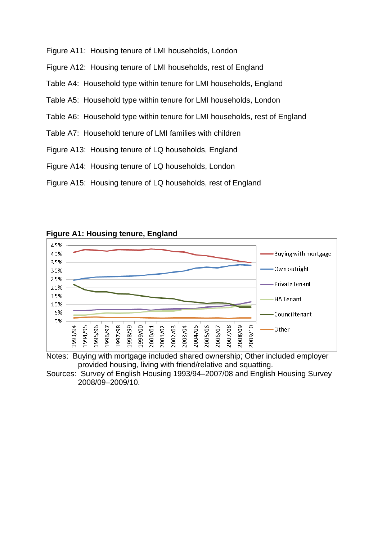- Figure A11: Housing tenure of LMI households, London
- Figure A12: Housing tenure of LMI households, rest of England
- Table A4: Household type within tenure for LMI households, England
- Table A5: Household type within tenure for LMI households, London
- Table A6: Household type within tenure for LMI households, rest of England
- Table A7: Household tenure of LMI families with children
- Figure A13: Housing tenure of LQ households, England
- Figure A14: Housing tenure of LQ households, London
- Figure A15: Housing tenure of LQ households, rest of England



**Figure A1: Housing tenure, England** 

Notes: Buying with mortgage included shared ownership; Other included employer provided housing, living with friend/relative and squatting.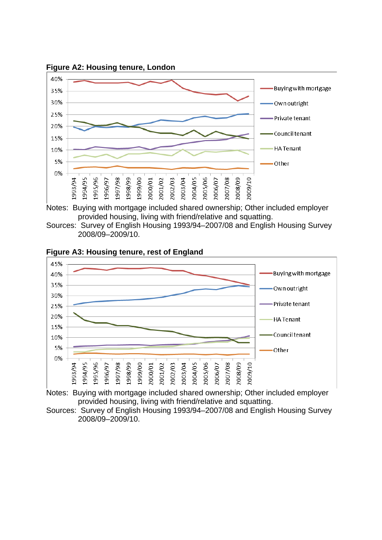

**Figure A2: Housing tenure, London** 

Notes: Buying with mortgage included shared ownership; Other included employer provided housing, living with friend/relative and squatting.

Sources: Survey of English Housing 1993/94–2007/08 and English Housing Survey 2008/09–2009/10.



Notes: Buying with mortgage included shared ownership; Other included employer provided housing, living with friend/relative and squatting.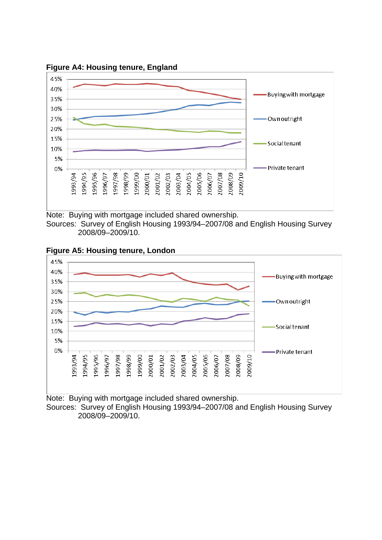

**Figure A4: Housing tenure, England** 

Note: Buying with mortgage included shared ownership. Sources: Survey of English Housing 1993/94–2007/08 and English Housing Survey

2008/09–2009/10.



**Figure A5: Housing tenure, London** 

Note: Buying with mortgage included shared ownership. Sources: Survey of English Housing 1993/94–2007/08 and English Housing Survey 2008/09–2009/10.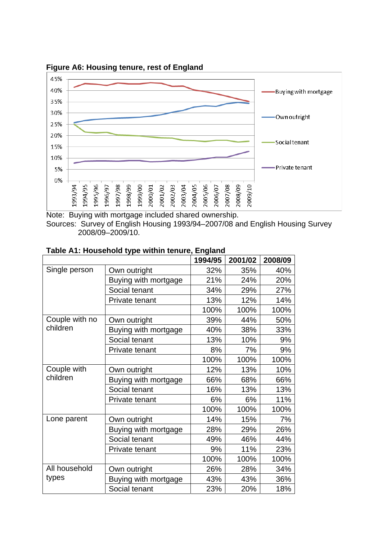

**Figure A6: Housing tenure, rest of England** 

Note: Buying with mortgage included shared ownership. Sources: Survey of English Housing 1993/94–2007/08 and English Housing Survey 2008/09–2009/10.

|                         |                       | 1994/95 | 2001/02 | 2008/09 |
|-------------------------|-----------------------|---------|---------|---------|
| Single person           | Own outright          | 32%     | 35%     | 40%     |
|                         | Buying with mortgage  | 21%     | 24%     | 20%     |
|                         | Social tenant         | 34%     | 29%     | 27%     |
|                         | Private tenant        | 13%     | 12%     | 14%     |
|                         |                       | 100%    | 100%    | 100%    |
| Couple with no          | Own outright          | 39%     | 44%     | 50%     |
| children                | Buying with mortgage  | 40%     | 38%     | 33%     |
|                         | Social tenant         | 13%     | 10%     | 9%      |
|                         | Private tenant        | 8%      | 7%      | 9%      |
|                         |                       | 100%    | 100%    | 100%    |
| Couple with<br>children | Own outright          | 12%     | 13%     | 10%     |
|                         | Buying with mortgage  | 66%     | 68%     | 66%     |
|                         | Social tenant         | 16%     | 13%     | 13%     |
|                         | Private tenant        | 6%      | 6%      | 11%     |
|                         |                       | 100%    | 100%    | 100%    |
| Lone parent             | Own outright          | 14%     | 15%     | 7%      |
|                         | Buying with mortgage  | 28%     | 29%     | 26%     |
|                         | Social tenant         | 49%     | 46%     | 44%     |
|                         | <b>Private tenant</b> | 9%      | 11%     | 23%     |
|                         |                       | 100%    | 100%    | 100%    |
| All household           | Own outright          | 26%     | 28%     | 34%     |
| types                   | Buying with mortgage  | 43%     | 43%     | 36%     |
|                         | Social tenant         | 23%     | 20%     | 18%     |

**Table A1: Household type within tenure, England**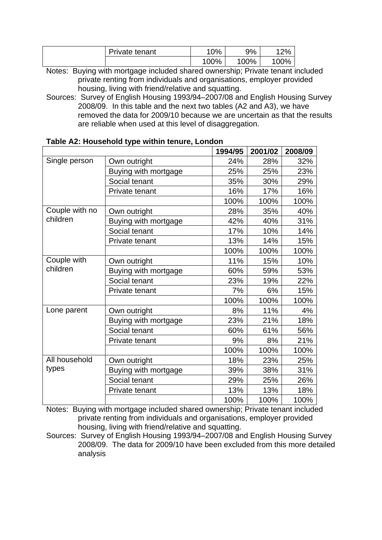| Private tenant | '0%  | 9%   | 12%    |
|----------------|------|------|--------|
|                | 100% | 100% | $00\%$ |

Sources: Survey of English Housing 1993/94-2007/08 and English Housing Survey removed the data for 2009/10 because we are uncertain as that the results 2008/09. In this table and the next two tables (A2 and A3), we have are reliable when used at this level of disaggregation.

|                |                      | 1994/95 | 2001/02 | 2008/09 |
|----------------|----------------------|---------|---------|---------|
| Single person  | Own outright         | 24%     | 28%     | 32%     |
|                | Buying with mortgage | 25%     | 25%     | 23%     |
|                | Social tenant        | 35%     | 30%     | 29%     |
|                | Private tenant       | 16%     | 17%     | 16%     |
|                |                      | 100%    | 100%    | 100%    |
| Couple with no | Own outright         | 28%     | 35%     | 40%     |
| children       | Buying with mortgage | 42%     | 40%     | 31%     |
|                | Social tenant        | 17%     | 10%     | 14%     |
|                | Private tenant       | 13%     | 14%     | 15%     |
|                |                      | 100%    | 100%    | 100%    |
| Couple with    | Own outright         | 11%     | 15%     | 10%     |
| children       | Buying with mortgage | 60%     | 59%     | 53%     |
|                | Social tenant        | 23%     | 19%     | 22%     |
|                | Private tenant       | 7%      | 6%      | 15%     |
|                |                      | 100%    | 100%    | 100%    |
| Lone parent    | Own outright         | 8%      | 11%     | 4%      |
|                | Buying with mortgage | 23%     | 21%     | 18%     |
|                | Social tenant        | 60%     | 61%     | 56%     |
|                | Private tenant       | 9%      | 8%      | 21%     |
|                |                      | 100%    | 100%    | 100%    |
| All household  | Own outright         | 18%     | 23%     | 25%     |
| types          | Buying with mortgage | 39%     | 38%     | 31%     |
|                | Social tenant        | 29%     | 25%     | 26%     |
|                | Private tenant       | 13%     | 13%     | 18%     |
|                |                      | 100%    | 100%    | 100%    |

## **able A2: Household type within tenure, London T**

Notes: Buying with mortgage included shared ownership; Private tenant included private renting from individuals and organisations, employer provided housing, living with friend/relative and squatting.

Sources: Survey of English Housing 1993/94-2007/08 and English Housing Survey 2008/09. The data for 2009/10 have been excluded from this more detailed analysis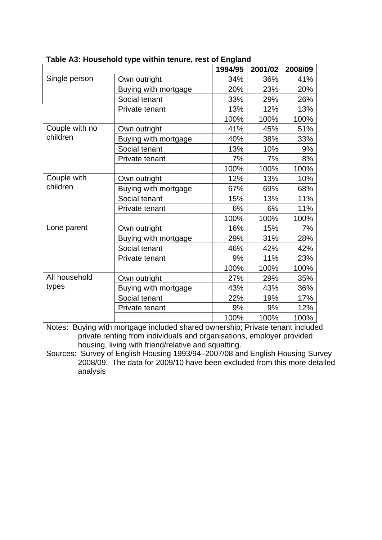|                |                      | 1994/95 | 2001/02 | 2008/09 |
|----------------|----------------------|---------|---------|---------|
| Single person  | Own outright         | 34%     | 36%     | 41%     |
|                | Buying with mortgage | 20%     | 23%     | 20%     |
|                | Social tenant        | 33%     | 29%     | 26%     |
|                | Private tenant       | 13%     | 12%     | 13%     |
|                |                      | 100%    | 100%    | 100%    |
| Couple with no | Own outright         | 41%     | 45%     | 51%     |
| children       | Buying with mortgage | 40%     | 38%     | 33%     |
|                | Social tenant        | 13%     | 10%     | 9%      |
|                | Private tenant       | 7%      | 7%      | 8%      |
|                |                      | 100%    | 100%    | 100%    |
| Couple with    | Own outright         | 12%     | 13%     | 10%     |
| children       | Buying with mortgage | 67%     | 69%     | 68%     |
|                | Social tenant        | 15%     | 13%     | 11%     |
|                | Private tenant       | 6%      | 6%      | 11%     |
|                |                      | 100%    | 100%    | 100%    |
| Lone parent    | Own outright         | 16%     | 15%     | 7%      |
|                | Buying with mortgage | 29%     | 31%     | 28%     |
|                | Social tenant        | 46%     | 42%     | 42%     |
|                | Private tenant       | 9%      | 11%     | 23%     |
|                |                      | 100%    | 100%    | 100%    |
| All household  | Own outright         | 27%     | 29%     | 35%     |
| types          | Buying with mortgage | 43%     | 43%     | 36%     |
|                | Social tenant        | 22%     | 19%     | 17%     |
|                | Private tenant       | 9%      | 9%      | 12%     |
|                |                      | 100%    | 100%    | 100%    |

**Table A3: Household type within tenure, rest of England**

Sources: Survey of English Housing 1993/94–2007/08 and English Housing Survey 2008/09. The data for 2009/10 have been excluded from this more detailed analysis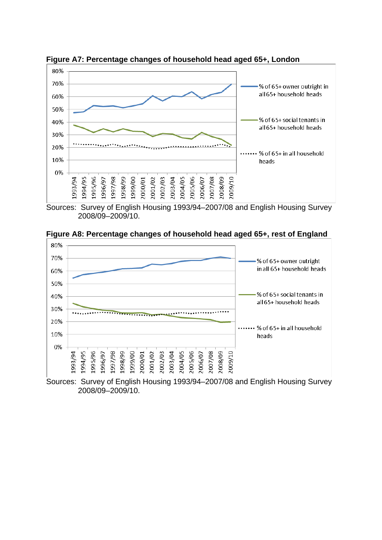

**Figure A7: Percentage changes of household head aged 65+, London** 

Sources: Survey of English Housing 1993/94–2007/08 and English Housing Survey 2008/09–2009/10.



**Figure A8: Percentage changes of household head aged 65+, rest of England** 

Sources: Survey of English Housing 1993/94–2007/08 and English Housing Survey 2008/09–2009/10.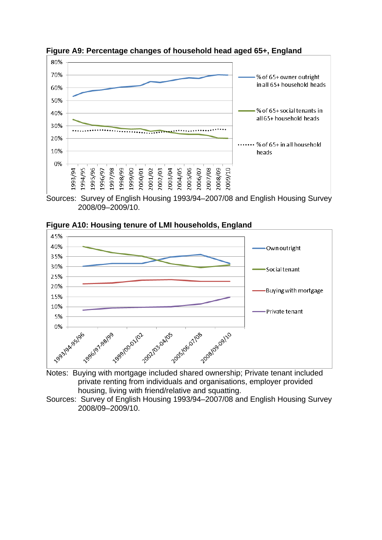

**Figure A9: Percentage changes of household head aged 65+, England** 

Sources: Survey of English Housing 1993/94–2007/08 and English Housing Survey 2008/09–2009/10.





Notes: Buying with mortgage included shared ownership; Private tenant included private renting from individuals and organisations, employer provided housing, living with friend/relative and squatting.

Sources: Survey of English Housing 1993/94–2007/08 and English Housing Survey 2008/09–2009/10.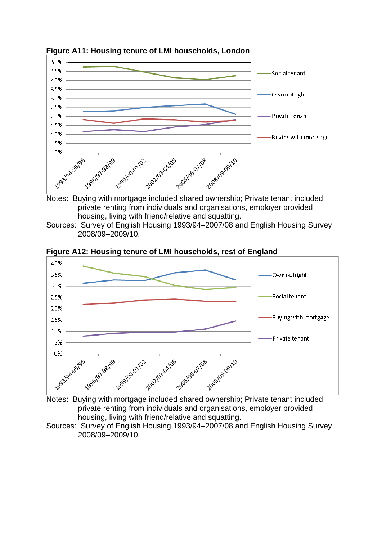

**Figure A11: Housing tenure of LMI households, London** 



Sources: Survey of English Housing 1993/94–2007/08 and English Housing Survey 2008/09–2009/10.



**Figure A12: Housing tenure of LMI households, rest of England**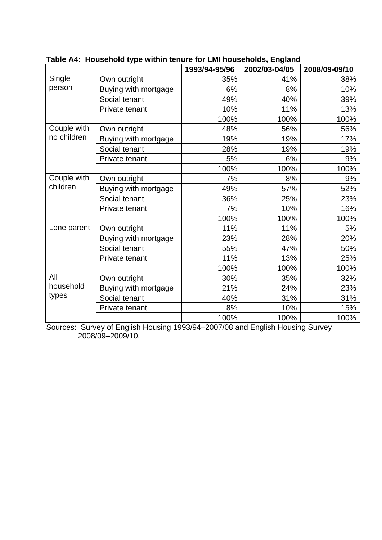|                           |                      | 1993/94-95/96 | 2002/03-04/05 | 2008/09-09/10 |
|---------------------------|----------------------|---------------|---------------|---------------|
| Single                    | Own outright         | 35%           | 41%           | 38%           |
| person                    | Buying with mortgage | 6%            | 8%            | 10%           |
|                           | Social tenant        | 49%           | 40%           | 39%           |
|                           | Private tenant       | 10%           | 11%           | 13%           |
|                           |                      | 100%          | 100%          | 100%          |
| Couple with               | Own outright         | 48%           | 56%           | 56%           |
| no children               | Buying with mortgage | 19%           | 19%           | 17%           |
|                           | Social tenant        | 28%           | 19%           | 19%           |
|                           | Private tenant       | 5%            | 6%            | 9%            |
|                           |                      | 100%          | 100%          | 100%          |
| Couple with               | Own outright         | 7%            | 8%            | 9%            |
| children                  | Buying with mortgage | 49%           | 57%           | 52%           |
|                           | Social tenant        | 36%           | 25%           | 23%           |
|                           | Private tenant       | 7%            | 10%           | 16%           |
|                           |                      | 100%          | 100%          | 100%          |
| Lone parent               | Own outright         | 11%           | 11%           | 5%            |
|                           | Buying with mortgage | 23%           | 28%           | 20%           |
|                           | Social tenant        | 55%           | 47%           | 50%           |
|                           | Private tenant       | 11%           | 13%           | 25%           |
|                           |                      | 100%          | 100%          | 100%          |
| All<br>household<br>types | Own outright         | 30%           | 35%           | 32%           |
|                           | Buying with mortgage | 21%           | 24%           | 23%           |
|                           | Social tenant        | 40%           | 31%           | 31%           |
|                           | Private tenant       | 8%            | 10%           | 15%           |
|                           |                      | 100%          | 100%          | 100%          |

**Table A4: Household type within tenure for LMI households, England**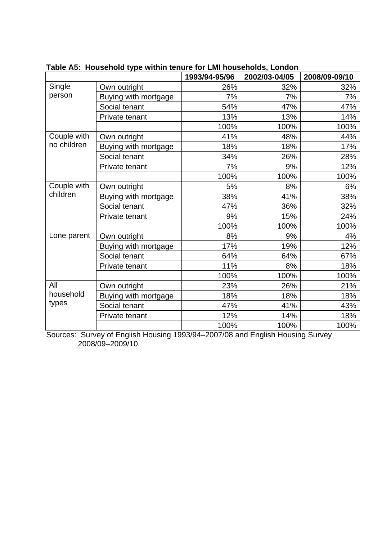|                           |                      | 1993/94-95/96 | 2002/03-04/05 | 2008/09-09/10 |
|---------------------------|----------------------|---------------|---------------|---------------|
| Single                    | Own outright         | 26%           | 32%           | 32%           |
| person                    | Buying with mortgage | 7%            | 7%            | 7%            |
|                           | Social tenant        | 54%           | 47%           | 47%           |
|                           | Private tenant       | 13%           | 13%           | 14%           |
|                           |                      | 100%          | 100%          | 100%          |
| Couple with               | Own outright         | 41%           | 48%           | 44%           |
| no children               | Buying with mortgage | 18%           | 18%           | 17%           |
|                           | Social tenant        | 34%           | 26%           | 28%           |
|                           | Private tenant       | 7%            | 9%            | 12%           |
|                           |                      | 100%          | 100%          | 100%          |
| Couple with               | Own outright         | 5%            | 8%            | 6%            |
| children                  | Buying with mortgage | 38%           | 41%           | 38%           |
|                           | Social tenant        | 47%           | 36%           | 32%           |
|                           | Private tenant       | 9%            | 15%           | 24%           |
|                           |                      | 100%          | 100%          | 100%          |
| Lone parent               | Own outright         | 8%            | 9%            | 4%            |
|                           | Buying with mortgage | 17%           | 19%           | 12%           |
|                           | Social tenant        | 64%           | 64%           | 67%           |
|                           | Private tenant       | 11%           | 8%            | 18%           |
|                           |                      | 100%          | 100%          | 100%          |
| All<br>household<br>types | Own outright         | 23%           | 26%           | 21%           |
|                           | Buying with mortgage | 18%           | 18%           | 18%           |
|                           | Social tenant        | 47%           | 41%           | 43%           |
|                           | Private tenant       | 12%           | 14%           | 18%           |
|                           |                      | 100%          | 100%          | 100%          |

**Table A5: Household type within tenure for LMI households, London**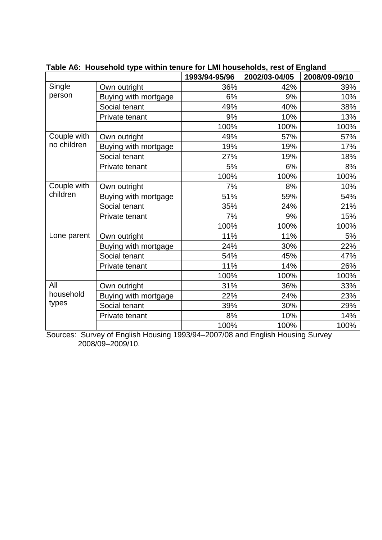|                           |                      | 1993/94-95/96 | 0 TVI ENII HVAJJUTUJAJI TVOL VI ENGRITU<br>2002/03-04/05 | 2008/09-09/10 |
|---------------------------|----------------------|---------------|----------------------------------------------------------|---------------|
| Single                    | Own outright         | 36%           | 42%                                                      | 39%           |
| person                    | Buying with mortgage | 6%            | 9%                                                       | 10%           |
|                           | Social tenant        | 49%           | 40%                                                      | 38%           |
|                           | Private tenant       | 9%            | 10%                                                      | 13%           |
|                           |                      | 100%          | 100%                                                     | 100%          |
| Couple with               | Own outright         | 49%           | 57%                                                      | 57%           |
| no children               | Buying with mortgage | 19%           | 19%                                                      | 17%           |
|                           | Social tenant        | 27%           | 19%                                                      | 18%           |
|                           | Private tenant       | 5%            | 6%                                                       | 8%            |
|                           |                      | 100%          | 100%                                                     | 100%          |
| Couple with               | Own outright         | 7%            | 8%                                                       | 10%           |
| children                  | Buying with mortgage | 51%           | 59%                                                      | 54%           |
|                           | Social tenant        | 35%           | 24%                                                      | 21%           |
|                           | Private tenant       | 7%            | 9%                                                       | 15%           |
|                           |                      | 100%          | 100%                                                     | 100%          |
| Lone parent               | Own outright         | 11%           | 11%                                                      | 5%            |
|                           | Buying with mortgage | 24%           | 30%                                                      | 22%           |
|                           | Social tenant        | 54%           | 45%                                                      | 47%           |
|                           | Private tenant       | 11%           | 14%                                                      | 26%           |
|                           |                      | 100%          | 100%                                                     | 100%          |
| All<br>household<br>types | Own outright         | 31%           | 36%                                                      | 33%           |
|                           | Buying with mortgage | 22%           | 24%                                                      | 23%           |
|                           | Social tenant        | 39%           | 30%                                                      | 29%           |
|                           | Private tenant       | 8%            | 10%                                                      | 14%           |
|                           |                      | 100%          | 100%                                                     | 100%          |

**Table A6: Household type within tenure for LMI households, rest of England**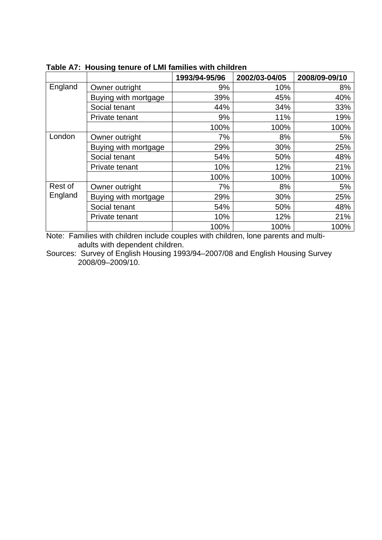|                    |                      | 1993/94-95/96 | 2002/03-04/05 | 2008/09-09/10 |
|--------------------|----------------------|---------------|---------------|---------------|
| England            | Owner outright       | 9%            | 10%           | 8%            |
|                    | Buying with mortgage | 39%           | 45%           | 40%           |
|                    | Social tenant        | 44%           | 34%           | 33%           |
|                    | Private tenant       | 9%            | 11%           | 19%           |
|                    |                      | 100%          | 100%          | 100%          |
| London             | Owner outright       | 7%            | 8%            | 5%            |
|                    | Buying with mortgage | 29%           | 30%           | 25%           |
|                    | Social tenant        | 54%           | 50%           | 48%           |
|                    | Private tenant       | 10%           | 12%           | 21%           |
|                    |                      | 100%          | 100%          | 100%          |
| Rest of<br>England | Owner outright       | 7%            | 8%            | 5%            |
|                    | Buying with mortgage | 29%           | 30%           | 25%           |
|                    | Social tenant        | 54%           | 50%           | 48%           |
|                    | Private tenant       | 10%           | 12%           | 21%           |
|                    |                      | 100%          | 100%          | 100%          |

**Table A7: Housing tenure of LMI families with children** 

Note: Families with children include couples with children, lone parents and multiadults with dependent children.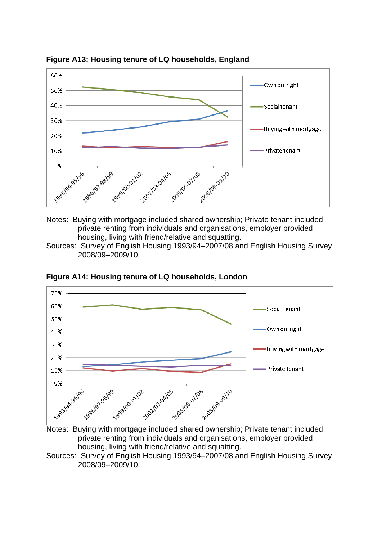

**Figure A13: Housing tenure of LQ households, England** 

- private renting from individuals and organisations, employer provided housing. living with friend/relative and squatting.
- Sources: Survey of English Housing 1993/94–2007/08 and English Housing Survey 2008/09–2009/10.



**Figure A14: Housing tenure of LQ households, London**